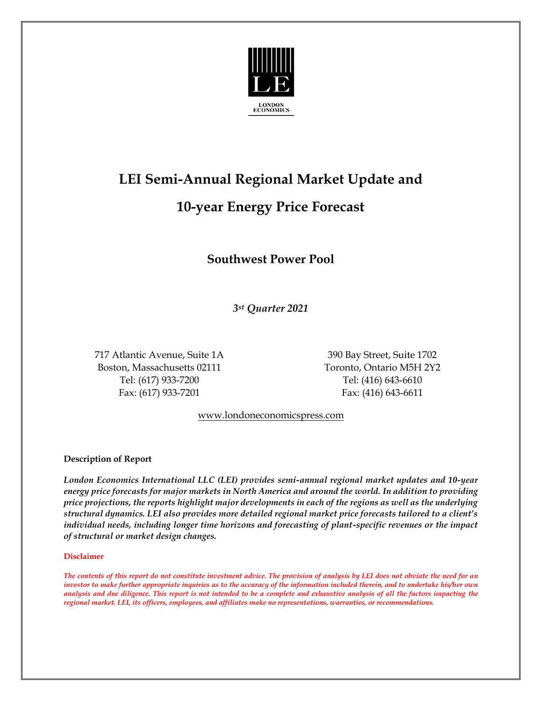

# **LEI Semi-Annual Regional Market Update and**

# **10-year Energy Price Forecast**

## **Southwest Power Pool**

*3st Quarter 2021*

717 Atlantic Avenue, Suite 1A 390 Bay Street, Suite 1702 Boston, Massachusetts 02111 Toronto, Ontario M5H 2Y2 Tel: (617) 933-7200 Tel: (416) 643-6610 Fax: (617) 933-7201 Fax: (416) 643-6611

[www.londoneconomicspress.com](http://www.londoneconomicspress.com/)

#### **Description of Report**

*London Economics International LLC (LEI) provides semi-annual regional market updates and 10-year energy price forecasts for major markets in North America and around the world. In addition to providing price projections, the reports highlight major developments in each of the regions as well as the underlying structural dynamics. LEI also provides more detailed regional market price forecasts tailored to a client's individual needs, including longer time horizons and forecasting of plant-specific revenues or the impact of structural or market design changes.*

#### **Disclaimer**

*The contents of this report do not constitute investment advice. The provision of analysis by LEI does not obviate the need for an investor to make further appropriate inquiries as to the accuracy of the information included therein, and to undertake his/her own analysis and due diligence. This report is not intended to be a complete and exhaustive analysis of all the factors impacting the regional market. LEI, its officers, employees, and affiliates make no representations, warranties, or recommendations.*